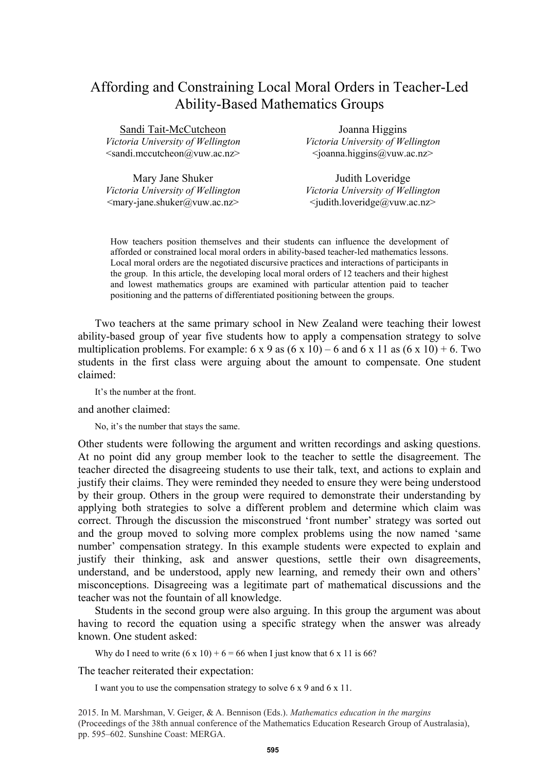# Affording and Constraining Local Moral Orders in Teacher-Led Ability-Based Mathematics Groups

| Sandi Tait-McCutcheon                                     | Joanna Higgins                                            |
|-----------------------------------------------------------|-----------------------------------------------------------|
| Victoria University of Wellington                         | Victoria University of Wellington                         |
| $\leq$ sandi.mccutcheon@vuw.ac.nz>                        | $\langle$ joanna.higgins@vuw.ac.nz>                       |
|                                                           |                                                           |
| Mary Jane Shuker                                          | Judith Loveridge                                          |
| Victoria University of Wellington                         | Victoria University of Wellington                         |
| <mary-jane.shuker@yuw.ac.nz></mary-jane.shuker@yuw.ac.nz> | <judith.loveridge@vuw.ac.nz></judith.loveridge@vuw.ac.nz> |

How teachers position themselves and their students can influence the development of afforded or constrained local moral orders in ability-based teacher-led mathematics lessons. Local moral orders are the negotiated discursive practices and interactions of participants in the group. In this article, the developing local moral orders of 12 teachers and their highest and lowest mathematics groups are examined with particular attention paid to teacher positioning and the patterns of differentiated positioning between the groups.

Two teachers at the same primary school in New Zealand were teaching their lowest ability-based group of year five students how to apply a compensation strategy to solve multiplication problems. For example:  $6 \times 9$  as  $(6 \times 10) - 6$  and  $6 \times 11$  as  $(6 \times 10) + 6$ . Two students in the first class were arguing about the amount to compensate. One student claimed:

It's the number at the front.

and another claimed:

No, it's the number that stays the same.

Other students were following the argument and written recordings and asking questions. At no point did any group member look to the teacher to settle the disagreement. The teacher directed the disagreeing students to use their talk, text, and actions to explain and justify their claims. They were reminded they needed to ensure they were being understood by their group. Others in the group were required to demonstrate their understanding by applying both strategies to solve a different problem and determine which claim was correct. Through the discussion the misconstrued 'front number' strategy was sorted out and the group moved to solving more complex problems using the now named 'same number' compensation strategy. In this example students were expected to explain and justify their thinking, ask and answer questions, settle their own disagreements, understand, and be understood, apply new learning, and remedy their own and others' misconceptions. Disagreeing was a legitimate part of mathematical discussions and the teacher was not the fountain of all knowledge.

Students in the second group were also arguing. In this group the argument was about having to record the equation using a specific strategy when the answer was already known. One student asked:

Why do I need to write  $(6 \times 10) + 6 = 66$  when I just know that 6 x 11 is 66?

The teacher reiterated their expectation:

I want you to use the compensation strategy to solve 6 x 9 and 6 x 11.

2015. In M. Marshman, V. Geiger, & A. Bennison (Eds.). *Mathematics education in the margins* (Proceedings of the 38th annual conference of the Mathematics Education Research Group of Australasia), pp. 595–602. Sunshine Coast: MERGA.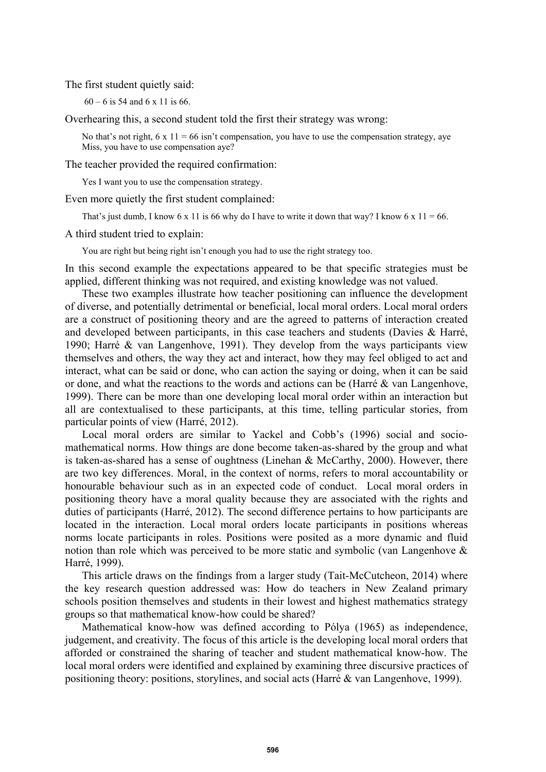The first student quietly said:

60 – 6 is 54 and 6 x 11 is 66.

Overhearing this, a second student told the first their strategy was wrong:

No that's not right,  $6 \times 11 = 66$  isn't compensation, you have to use the compensation strategy, ave Miss, you have to use compensation aye?

The teacher provided the required confirmation:

Yes I want you to use the compensation strategy.

Even more quietly the first student complained:

That's just dumb, I know 6 x 11 is 66 why do I have to write it down that way? I know 6 x  $11 = 66$ .

A third student tried to explain:

You are right but being right isn't enough you had to use the right strategy too.

In this second example the expectations appeared to be that specific strategies must be applied, different thinking was not required, and existing knowledge was not valued.

These two examples illustrate how teacher positioning can influence the development of diverse, and potentially detrimental or beneficial, local moral orders. Local moral orders are a construct of positioning theory and are the agreed to patterns of interaction created and developed between participants, in this case teachers and students (Davies & Harré, 1990; Harré & van Langenhove, 1991). They develop from the ways participants view themselves and others, the way they act and interact, how they may feel obliged to act and interact, what can be said or done, who can action the saying or doing, when it can be said or done, and what the reactions to the words and actions can be (Harré & van Langenhove, 1999). There can be more than one developing local moral order within an interaction but all are contextualised to these participants, at this time, telling particular stories, from particular points of view (Harré, 2012).

Local moral orders are similar to Yackel and Cobb's (1996) social and sociomathematical norms. How things are done become taken-as-shared by the group and what is taken-as-shared has a sense of oughtness (Linehan & McCarthy, 2000). However, there are two key differences. Moral, in the context of norms, refers to moral accountability or honourable behaviour such as in an expected code of conduct. Local moral orders in positioning theory have a moral quality because they are associated with the rights and duties of participants (Harré, 2012). The second difference pertains to how participants are located in the interaction. Local moral orders locate participants in positions whereas norms locate participants in roles. Positions were posited as a more dynamic and fluid notion than role which was perceived to be more static and symbolic (van Langenhove & Harré, 1999).

This article draws on the findings from a larger study (Tait-McCutcheon, 2014) where the key research question addressed was: How do teachers in New Zealand primary schools position themselves and students in their lowest and highest mathematics strategy groups so that mathematical know-how could be shared?

Mathematical know-how was defined according to Pólya (1965) as independence, judgement, and creativity. The focus of this article is the developing local moral orders that afforded or constrained the sharing of teacher and student mathematical know-how. The local moral orders were identified and explained by examining three discursive practices of positioning theory: positions, storylines, and social acts (Harré & van Langenhove, 1999).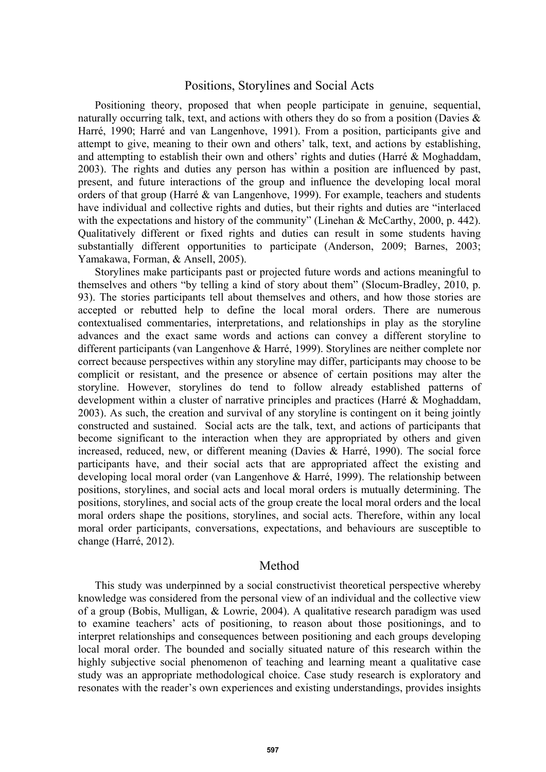# Positions, Storylines and Social Acts

Positioning theory, proposed that when people participate in genuine, sequential, naturally occurring talk, text, and actions with others they do so from a position (Davies & Harré, 1990; Harré and van Langenhove, 1991). From a position, participants give and attempt to give, meaning to their own and others' talk, text, and actions by establishing, and attempting to establish their own and others' rights and duties (Harré & Moghaddam, 2003). The rights and duties any person has within a position are influenced by past, present, and future interactions of the group and influence the developing local moral orders of that group (Harré & van Langenhove, 1999). For example, teachers and students have individual and collective rights and duties, but their rights and duties are "interlaced with the expectations and history of the community" (Linehan & McCarthy, 2000, p. 442). Qualitatively different or fixed rights and duties can result in some students having substantially different opportunities to participate (Anderson, 2009; Barnes, 2003; Yamakawa, Forman, & Ansell, 2005).

Storylines make participants past or projected future words and actions meaningful to themselves and others "by telling a kind of story about them" (Slocum-Bradley, 2010, p. 93). The stories participants tell about themselves and others, and how those stories are accepted or rebutted help to define the local moral orders. There are numerous contextualised commentaries, interpretations, and relationships in play as the storyline advances and the exact same words and actions can convey a different storyline to different participants (van Langenhove & Harré, 1999). Storylines are neither complete nor correct because perspectives within any storyline may differ, participants may choose to be complicit or resistant, and the presence or absence of certain positions may alter the storyline. However, storylines do tend to follow already established patterns of development within a cluster of narrative principles and practices (Harré & Moghaddam, 2003). As such, the creation and survival of any storyline is contingent on it being jointly constructed and sustained. Social acts are the talk, text, and actions of participants that become significant to the interaction when they are appropriated by others and given increased, reduced, new, or different meaning (Davies & Harré, 1990). The social force participants have, and their social acts that are appropriated affect the existing and developing local moral order (van Langenhove & Harré, 1999). The relationship between positions, storylines, and social acts and local moral orders is mutually determining. The positions, storylines, and social acts of the group create the local moral orders and the local moral orders shape the positions, storylines, and social acts. Therefore, within any local moral order participants, conversations, expectations, and behaviours are susceptible to change (Harré, 2012).

#### Method

This study was underpinned by a social constructivist theoretical perspective whereby knowledge was considered from the personal view of an individual and the collective view of a group (Bobis, Mulligan, & Lowrie, 2004). A qualitative research paradigm was used to examine teachers' acts of positioning, to reason about those positionings, and to interpret relationships and consequences between positioning and each groups developing local moral order. The bounded and socially situated nature of this research within the highly subjective social phenomenon of teaching and learning meant a qualitative case study was an appropriate methodological choice. Case study research is exploratory and resonates with the reader's own experiences and existing understandings, provides insights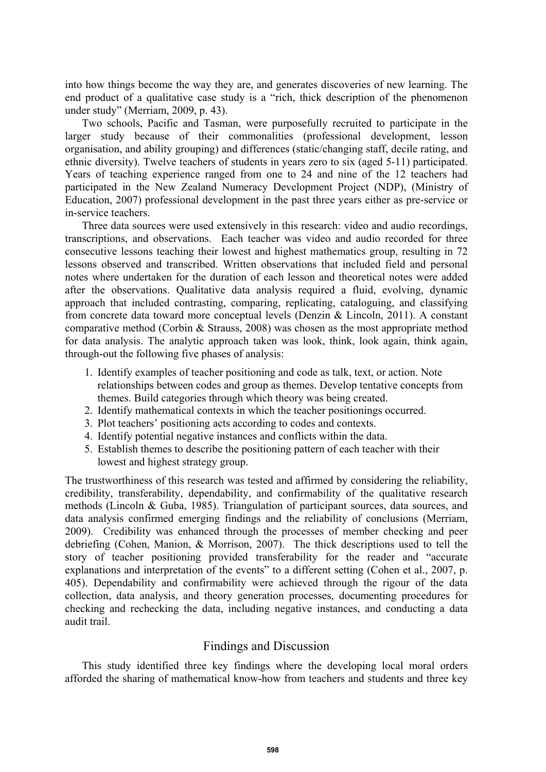into how things become the way they are, and generates discoveries of new learning. The end product of a qualitative case study is a "rich, thick description of the phenomenon under study" (Merriam, 2009, p. 43).

Two schools, Pacific and Tasman, were purposefully recruited to participate in the larger study because of their commonalities (professional development, lesson organisation, and ability grouping) and differences (static/changing staff, decile rating, and ethnic diversity). Twelve teachers of students in years zero to six (aged 5-11) participated. Years of teaching experience ranged from one to 24 and nine of the 12 teachers had participated in the New Zealand Numeracy Development Project (NDP), (Ministry of Education, 2007) professional development in the past three years either as pre-service or in-service teachers.

Three data sources were used extensively in this research: video and audio recordings, transcriptions, and observations. Each teacher was video and audio recorded for three consecutive lessons teaching their lowest and highest mathematics group, resulting in 72 lessons observed and transcribed. Written observations that included field and personal notes where undertaken for the duration of each lesson and theoretical notes were added after the observations. Qualitative data analysis required a fluid, evolving, dynamic approach that included contrasting, comparing, replicating, cataloguing, and classifying from concrete data toward more conceptual levels (Denzin & Lincoln, 2011). A constant comparative method (Corbin & Strauss, 2008) was chosen as the most appropriate method for data analysis. The analytic approach taken was look, think, look again, think again, through-out the following five phases of analysis:

- 1. Identify examples of teacher positioning and code as talk, text, or action. Note relationships between codes and group as themes. Develop tentative concepts from themes. Build categories through which theory was being created.
- 2. Identify mathematical contexts in which the teacher positionings occurred.
- 3. Plot teachers' positioning acts according to codes and contexts.
- 4. Identify potential negative instances and conflicts within the data.
- 5. Establish themes to describe the positioning pattern of each teacher with their lowest and highest strategy group.

The trustworthiness of this research was tested and affirmed by considering the reliability, credibility, transferability, dependability, and confirmability of the qualitative research methods (Lincoln & Guba, 1985). Triangulation of participant sources, data sources, and data analysis confirmed emerging findings and the reliability of conclusions (Merriam, 2009). Credibility was enhanced through the processes of member checking and peer debriefing (Cohen, Manion, & Morrison, 2007). The thick descriptions used to tell the story of teacher positioning provided transferability for the reader and "accurate explanations and interpretation of the events" to a different setting (Cohen et al., 2007, p. 405). Dependability and confirmability were achieved through the rigour of the data collection, data analysis, and theory generation processes, documenting procedures for checking and rechecking the data, including negative instances, and conducting a data audit trail.

### Findings and Discussion

This study identified three key findings where the developing local moral orders afforded the sharing of mathematical know-how from teachers and students and three key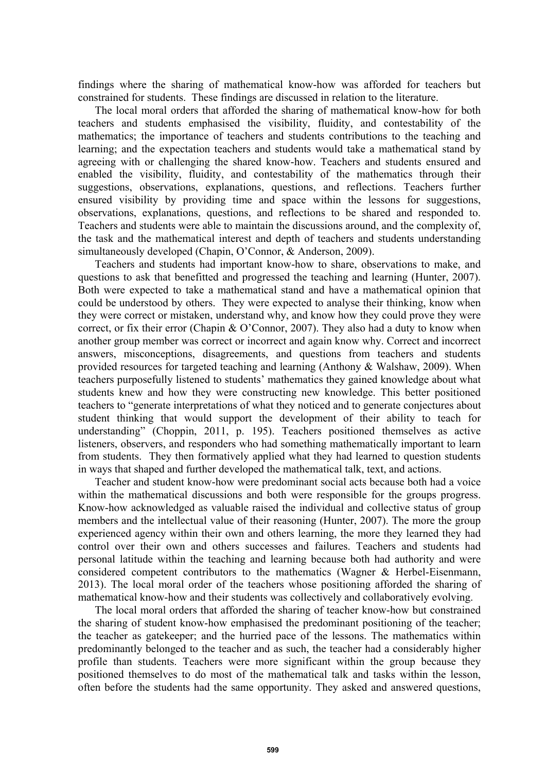findings where the sharing of mathematical know-how was afforded for teachers but constrained for students. These findings are discussed in relation to the literature.

The local moral orders that afforded the sharing of mathematical know-how for both teachers and students emphasised the visibility, fluidity, and contestability of the mathematics; the importance of teachers and students contributions to the teaching and learning; and the expectation teachers and students would take a mathematical stand by agreeing with or challenging the shared know-how. Teachers and students ensured and enabled the visibility, fluidity, and contestability of the mathematics through their suggestions, observations, explanations, questions, and reflections. Teachers further ensured visibility by providing time and space within the lessons for suggestions, observations, explanations, questions, and reflections to be shared and responded to. Teachers and students were able to maintain the discussions around, and the complexity of, the task and the mathematical interest and depth of teachers and students understanding simultaneously developed (Chapin, O'Connor, & Anderson, 2009).

Teachers and students had important know-how to share, observations to make, and questions to ask that benefitted and progressed the teaching and learning (Hunter, 2007). Both were expected to take a mathematical stand and have a mathematical opinion that could be understood by others. They were expected to analyse their thinking, know when they were correct or mistaken, understand why, and know how they could prove they were correct, or fix their error (Chapin  $& O'Connor, 2007$ ). They also had a duty to know when another group member was correct or incorrect and again know why. Correct and incorrect answers, misconceptions, disagreements, and questions from teachers and students provided resources for targeted teaching and learning (Anthony & Walshaw, 2009). When teachers purposefully listened to students' mathematics they gained knowledge about what students knew and how they were constructing new knowledge. This better positioned teachers to "generate interpretations of what they noticed and to generate conjectures about student thinking that would support the development of their ability to teach for understanding" (Choppin, 2011, p. 195). Teachers positioned themselves as active listeners, observers, and responders who had something mathematically important to learn from students. They then formatively applied what they had learned to question students in ways that shaped and further developed the mathematical talk, text, and actions.

Teacher and student know-how were predominant social acts because both had a voice within the mathematical discussions and both were responsible for the groups progress. Know-how acknowledged as valuable raised the individual and collective status of group members and the intellectual value of their reasoning (Hunter, 2007). The more the group experienced agency within their own and others learning, the more they learned they had control over their own and others successes and failures. Teachers and students had personal latitude within the teaching and learning because both had authority and were considered competent contributors to the mathematics (Wagner & Herbel-Eisenmann, 2013). The local moral order of the teachers whose positioning afforded the sharing of mathematical know-how and their students was collectively and collaboratively evolving.

The local moral orders that afforded the sharing of teacher know-how but constrained the sharing of student know-how emphasised the predominant positioning of the teacher; the teacher as gatekeeper; and the hurried pace of the lessons. The mathematics within predominantly belonged to the teacher and as such, the teacher had a considerably higher profile than students. Teachers were more significant within the group because they positioned themselves to do most of the mathematical talk and tasks within the lesson, often before the students had the same opportunity. They asked and answered questions,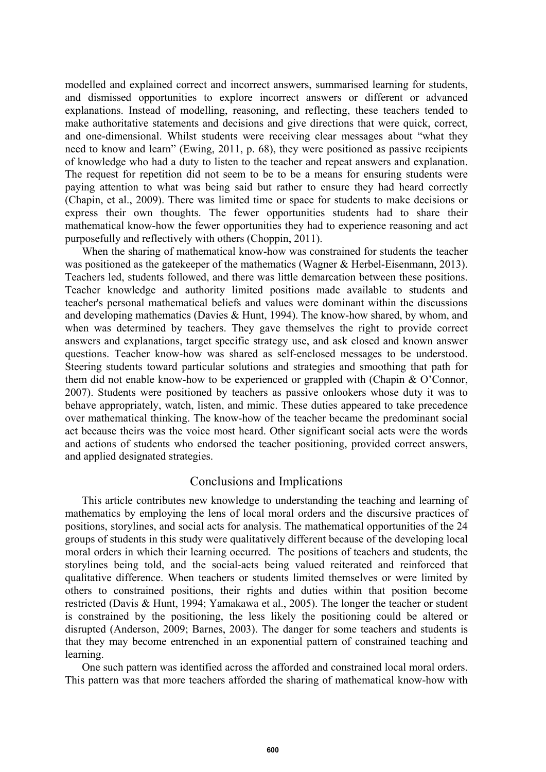modelled and explained correct and incorrect answers, summarised learning for students, and dismissed opportunities to explore incorrect answers or different or advanced explanations. Instead of modelling, reasoning, and reflecting, these teachers tended to make authoritative statements and decisions and give directions that were quick, correct, and one-dimensional. Whilst students were receiving clear messages about "what they need to know and learn" (Ewing, 2011, p. 68), they were positioned as passive recipients of knowledge who had a duty to listen to the teacher and repeat answers and explanation. The request for repetition did not seem to be to be a means for ensuring students were paying attention to what was being said but rather to ensure they had heard correctly (Chapin, et al., 2009). There was limited time or space for students to make decisions or express their own thoughts. The fewer opportunities students had to share their mathematical know-how the fewer opportunities they had to experience reasoning and act purposefully and reflectively with others (Choppin, 2011).

When the sharing of mathematical know-how was constrained for students the teacher was positioned as the gatekeeper of the mathematics (Wagner & Herbel-Eisenmann, 2013). Teachers led, students followed, and there was little demarcation between these positions. Teacher knowledge and authority limited positions made available to students and teacher's personal mathematical beliefs and values were dominant within the discussions and developing mathematics (Davies & Hunt, 1994). The know-how shared, by whom, and when was determined by teachers. They gave themselves the right to provide correct answers and explanations, target specific strategy use, and ask closed and known answer questions. Teacher know-how was shared as self-enclosed messages to be understood. Steering students toward particular solutions and strategies and smoothing that path for them did not enable know-how to be experienced or grappled with (Chapin & O'Connor, 2007). Students were positioned by teachers as passive onlookers whose duty it was to behave appropriately, watch, listen, and mimic. These duties appeared to take precedence over mathematical thinking. The know-how of the teacher became the predominant social act because theirs was the voice most heard. Other significant social acts were the words and actions of students who endorsed the teacher positioning, provided correct answers, and applied designated strategies.

## Conclusions and Implications

This article contributes new knowledge to understanding the teaching and learning of mathematics by employing the lens of local moral orders and the discursive practices of positions, storylines, and social acts for analysis. The mathematical opportunities of the 24 groups of students in this study were qualitatively different because of the developing local moral orders in which their learning occurred. The positions of teachers and students, the storylines being told, and the social-acts being valued reiterated and reinforced that qualitative difference. When teachers or students limited themselves or were limited by others to constrained positions, their rights and duties within that position become restricted (Davis & Hunt, 1994; Yamakawa et al., 2005). The longer the teacher or student is constrained by the positioning, the less likely the positioning could be altered or disrupted (Anderson, 2009; Barnes, 2003). The danger for some teachers and students is that they may become entrenched in an exponential pattern of constrained teaching and learning.

One such pattern was identified across the afforded and constrained local moral orders. This pattern was that more teachers afforded the sharing of mathematical know-how with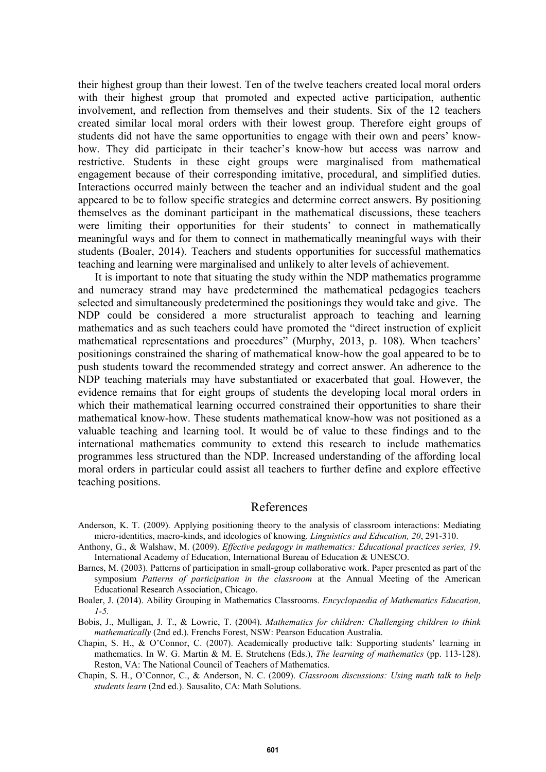their highest group than their lowest. Ten of the twelve teachers created local moral orders with their highest group that promoted and expected active participation, authentic involvement, and reflection from themselves and their students. Six of the 12 teachers created similar local moral orders with their lowest group. Therefore eight groups of students did not have the same opportunities to engage with their own and peers' knowhow. They did participate in their teacher's know-how but access was narrow and restrictive. Students in these eight groups were marginalised from mathematical engagement because of their corresponding imitative, procedural, and simplified duties. Interactions occurred mainly between the teacher and an individual student and the goal appeared to be to follow specific strategies and determine correct answers. By positioning themselves as the dominant participant in the mathematical discussions, these teachers were limiting their opportunities for their students' to connect in mathematically meaningful ways and for them to connect in mathematically meaningful ways with their students (Boaler, 2014). Teachers and students opportunities for successful mathematics teaching and learning were marginalised and unlikely to alter levels of achievement.

It is important to note that situating the study within the NDP mathematics programme and numeracy strand may have predetermined the mathematical pedagogies teachers selected and simultaneously predetermined the positionings they would take and give. The NDP could be considered a more structuralist approach to teaching and learning mathematics and as such teachers could have promoted the "direct instruction of explicit mathematical representations and procedures" (Murphy, 2013, p. 108). When teachers' positionings constrained the sharing of mathematical know-how the goal appeared to be to push students toward the recommended strategy and correct answer. An adherence to the NDP teaching materials may have substantiated or exacerbated that goal. However, the evidence remains that for eight groups of students the developing local moral orders in which their mathematical learning occurred constrained their opportunities to share their mathematical know-how. These students mathematical know-how was not positioned as a valuable teaching and learning tool. It would be of value to these findings and to the international mathematics community to extend this research to include mathematics programmes less structured than the NDP. Increased understanding of the affording local moral orders in particular could assist all teachers to further define and explore effective teaching positions.

### References

- Anderson, K. T. (2009). Applying positioning theory to the analysis of classroom interactions: Mediating micro-identities, macro-kinds, and ideologies of knowing. *Linguistics and Education, 20*, 291-310.
- Anthony, G., & Walshaw, M. (2009). *Effective pedagogy in mathematics: Educational practices series, 19*. International Academy of Education, International Bureau of Education & UNESCO.
- Barnes, M. (2003). Patterns of participation in small-group collaborative work. Paper presented as part of the symposium *Patterns of participation in the classroom* at the Annual Meeting of the American Educational Research Association, Chicago.
- Boaler, J. (2014). Ability Grouping in Mathematics Classrooms. *Encyclopaedia of Mathematics Education, 1-5.*

Bobis, J., Mulligan, J. T., & Lowrie, T. (2004). *Mathematics for children: Challenging children to think mathematically* (2nd ed.). Frenchs Forest, NSW: Pearson Education Australia.

Chapin, S. H., & O'Connor, C. (2007). Academically productive talk: Supporting students' learning in mathematics. In W. G. Martin & M. E. Strutchens (Eds.), *The learning of mathematics* (pp. 113-128). Reston, VA: The National Council of Teachers of Mathematics.

Chapin, S. H., O'Connor, C., & Anderson, N. C. (2009). *Classroom discussions: Using math talk to help students learn* (2nd ed.). Sausalito, CA: Math Solutions.